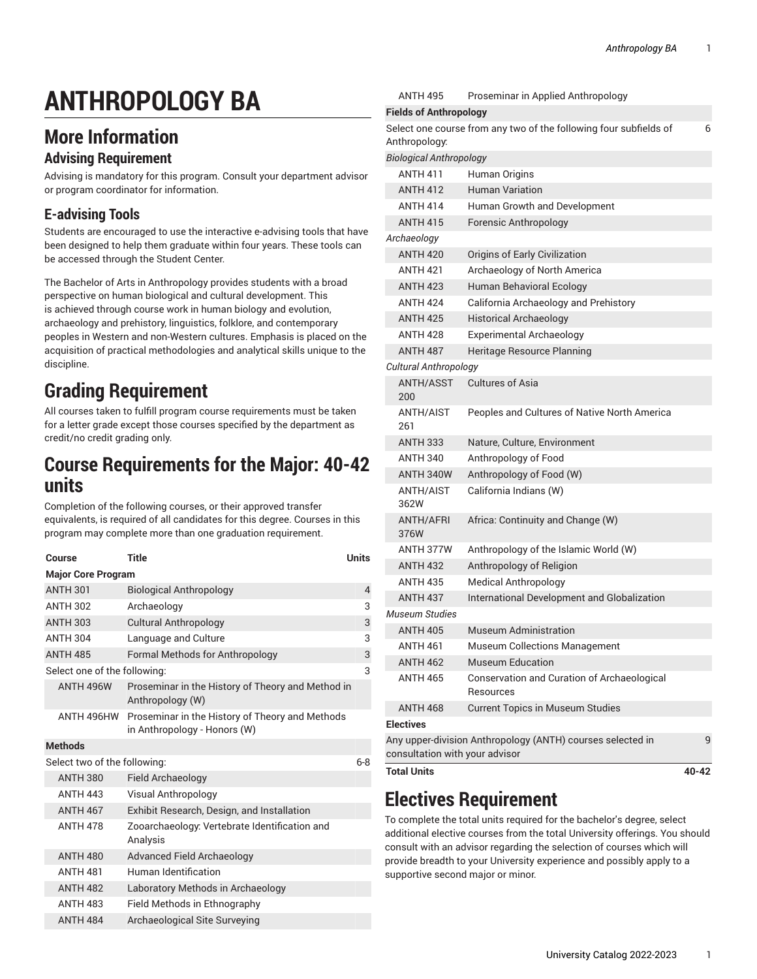# **ANTHROPOLOGY BA**

## **More Information**

#### **Advising Requirement**

Advising is mandatory for this program. Consult your department advisor or program coordinator for information.

#### **E-advising Tools**

Students are encouraged to use the interactive e-advising tools that have been designed to help them graduate within four years. These tools can be accessed through the Student Center.

The Bachelor of Arts in Anthropology provides students with a broad perspective on human biological and cultural development. This is achieved through course work in human biology and evolution, archaeology and prehistory, linguistics, folklore, and contemporary peoples in Western and non-Western cultures. Emphasis is placed on the acquisition of practical methodologies and analytical skills unique to the discipline.

## **Grading Requirement**

All courses taken to fulfill program course requirements must be taken for a letter grade except those courses specified by the department as credit/no credit grading only.

#### **Course Requirements for the Major: 40-42 units**

Completion of the following courses, or their approved transfer equivalents, is required of all candidates for this degree. Courses in this program may complete more than one graduation requirement.

| Course                       | <b>Title</b>                                                                    | Units   |  |  |
|------------------------------|---------------------------------------------------------------------------------|---------|--|--|
| <b>Major Core Program</b>    |                                                                                 |         |  |  |
| <b>ANTH 301</b>              | <b>Biological Anthropology</b>                                                  | 4       |  |  |
| <b>ANTH 302</b>              | Archaeology                                                                     | 3       |  |  |
| <b>ANTH 303</b>              | <b>Cultural Anthropology</b>                                                    | 3       |  |  |
| <b>ANTH 304</b>              | Language and Culture                                                            | 3       |  |  |
| <b>ANTH 485</b>              | <b>Formal Methods for Anthropology</b>                                          | 3       |  |  |
| Select one of the following: |                                                                                 | 3       |  |  |
| <b>ANTH 496W</b>             | Proseminar in the History of Theory and Method in<br>Anthropology (W)           |         |  |  |
| ANTH 496HW                   | Proseminar in the History of Theory and Methods<br>in Anthropology - Honors (W) |         |  |  |
| <b>Methods</b>               |                                                                                 |         |  |  |
| Select two of the following: |                                                                                 | $6 - 8$ |  |  |
| <b>ANTH 380</b>              | Field Archaeology                                                               |         |  |  |
| <b>ANTH 443</b>              | Visual Anthropology                                                             |         |  |  |
| <b>ANTH 467</b>              | Exhibit Research, Design, and Installation                                      |         |  |  |
| <b>ANTH 478</b>              | Zooarchaeology: Vertebrate Identification and                                   |         |  |  |

| .               | $E1$ . The contract of $L1$ belonging and interaction     |
|-----------------|-----------------------------------------------------------|
| <b>ANTH 478</b> | Zooarchaeology: Vertebrate Identification and<br>Analysis |
| <b>ANTH 480</b> | Advanced Field Archaeology                                |
| <b>ANTH 481</b> | Human Identification                                      |
| <b>ANTH 482</b> | Laboratory Methods in Archaeology                         |
| <b>ANTH 483</b> | Field Methods in Ethnography                              |
| <b>ANTH 484</b> | Archaeological Site Surveying                             |
|                 |                                                           |

| <b>Total Units</b>                  |                                                                              | $40 - 42$ |
|-------------------------------------|------------------------------------------------------------------------------|-----------|
| consultation with your advisor      |                                                                              |           |
|                                     | Any upper-division Anthropology (ANTH) courses selected in                   | 9         |
| <b>ANTH 468</b><br><b>Electives</b> | <b>Current Topics in Museum Studies</b>                                      |           |
| <b>ANTH 465</b>                     | Conservation and Curation of Archaeological<br>Resources                     |           |
| <b>ANTH 462</b>                     | <b>Museum Education</b>                                                      |           |
| ANTH 461                            | <b>Museum Collections Management</b>                                         |           |
| <b>ANTH 405</b>                     | Museum Administration                                                        |           |
| Museum Studies                      |                                                                              |           |
| <b>ANTH 437</b>                     | International Development and Globalization                                  |           |
| <b>ANTH 435</b>                     | <b>Medical Anthropology</b>                                                  |           |
| <b>ANTH 432</b>                     | Anthropology of Religion                                                     |           |
| ANTH 377W                           | Anthropology of the Islamic World (W)                                        |           |
| ANTH/AFRI<br>376W                   | Africa: Continuity and Change (W)                                            |           |
| ANTH/AIST<br>362W                   | California Indians (W)                                                       |           |
| ANTH 340W                           | Anthropology of Food (W)                                                     |           |
| <b>ANTH 340</b>                     | Anthropology of Food                                                         |           |
| ANTH/AIST<br>261<br><b>ANTH 333</b> | Peoples and Cultures of Native North America<br>Nature, Culture, Environment |           |
| <b>ANTH/ASST</b><br>200             | Cultures of Asia                                                             |           |
| Cultural Anthropology               |                                                                              |           |
| <b>ANTH 487</b>                     | Heritage Resource Planning                                                   |           |
| <b>ANTH 428</b>                     | <b>Experimental Archaeology</b>                                              |           |
| <b>ANTH 425</b>                     | <b>Historical Archaeology</b>                                                |           |
| <b>ANTH 424</b>                     | California Archaeology and Prehistory                                        |           |
| <b>ANTH 423</b>                     | Human Behavioral Ecology                                                     |           |
| <b>ANTH 421</b>                     | Archaeology of North America                                                 |           |
| <b>ANTH 420</b>                     | Origins of Early Civilization                                                |           |
| Archaeology                         |                                                                              |           |
| <b>ANTH 415</b>                     | <b>Forensic Anthropology</b>                                                 |           |
| <b>ANTH 414</b>                     | Human Growth and Development                                                 |           |
| <b>ANTH 412</b>                     | <b>Human Variation</b>                                                       |           |
| <b>ANTH 411</b>                     | Human Origins                                                                |           |
| <b>Biological Anthropology</b>      |                                                                              |           |
| Anthropology:                       | Select one course from any two of the following four subfields of            | 6         |
| <b>Fields of Anthropology</b>       |                                                                              |           |
| ANTH 495                            | Proseminar in Applied Anthropology                                           |           |

## **Electives Requirement**

To complete the total units required for the bachelor's degree, select additional elective courses from the total University offerings. You should consult with an advisor regarding the selection of courses which will provide breadth to your University experience and possibly apply to a supportive second major or minor.